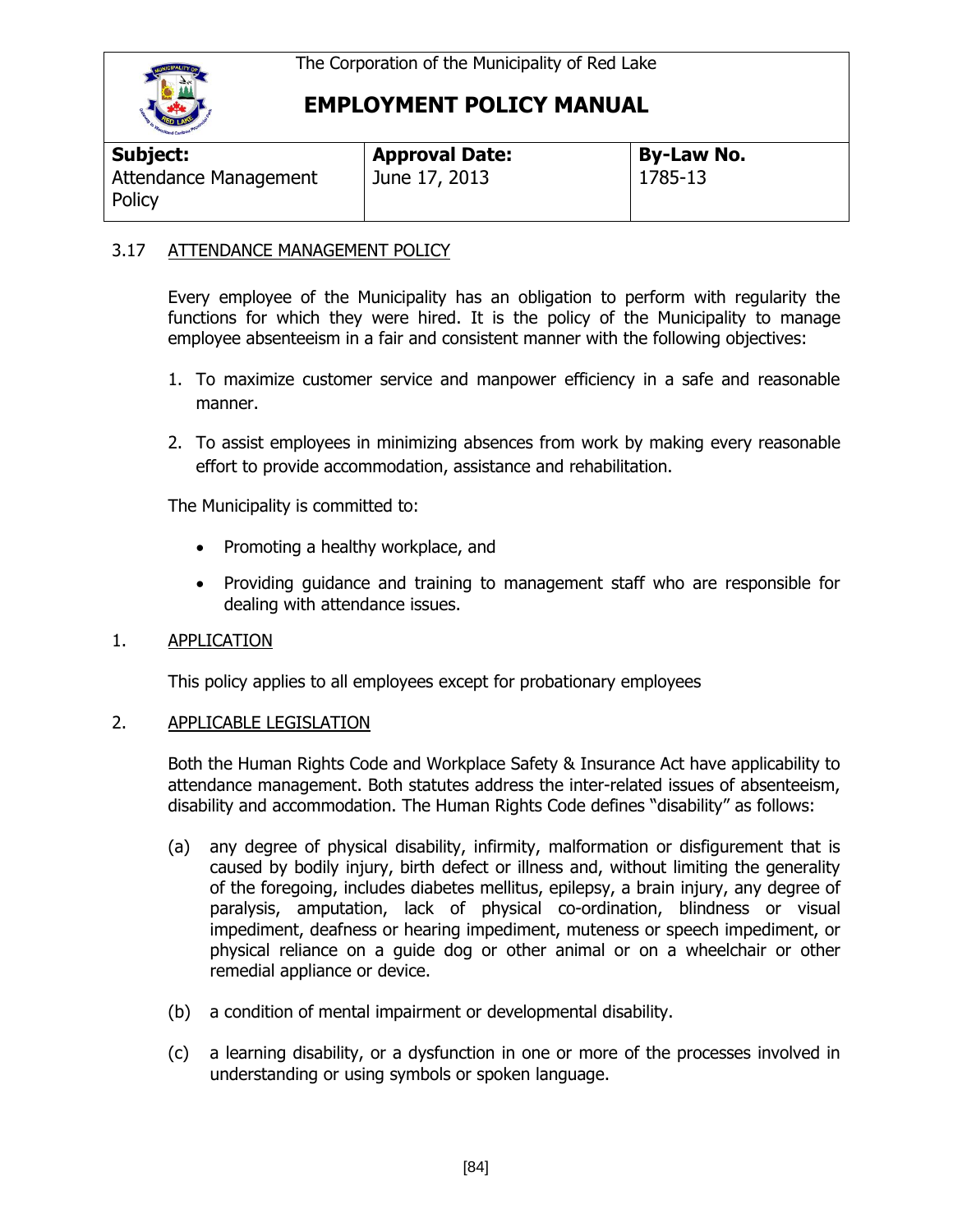

| Subject:                        | <b>Approval Date:</b> | <b>By-Law No.</b> |
|---------------------------------|-----------------------|-------------------|
| Attendance Management<br>Policy | June 17, 2013         | 1785-13           |

### 3.17 ATTENDANCE MANAGEMENT POLICY

Every employee of the Municipality has an obligation to perform with regularity the functions for which they were hired. It is the policy of the Municipality to manage employee absenteeism in a fair and consistent manner with the following objectives:

- 1. To maximize customer service and manpower efficiency in a safe and reasonable manner.
- 2. To assist employees in minimizing absences from work by making every reasonable effort to provide accommodation, assistance and rehabilitation.

The Municipality is committed to:

- Promoting a healthy workplace, and
- Providing guidance and training to management staff who are responsible for dealing with attendance issues.

### 1. APPLICATION

This policy applies to all employees except for probationary employees

### 2. APPLICABLE LEGISLATION

Both the Human Rights Code and Workplace Safety & Insurance Act have applicability to attendance management. Both statutes address the inter-related issues of absenteeism, disability and accommodation. The Human Rights Code defines "disability" as follows:

- (a) any degree of physical disability, infirmity, malformation or disfigurement that is caused by bodily injury, birth defect or illness and, without limiting the generality of the foregoing, includes diabetes mellitus, epilepsy, a brain injury, any degree of paralysis, amputation, lack of physical co-ordination, blindness or visual impediment, deafness or hearing impediment, muteness or speech impediment, or physical reliance on a guide dog or other animal or on a wheelchair or other remedial appliance or device.
- (b) a condition of mental impairment or developmental disability.
- (c) a learning disability, or a dysfunction in one or more of the processes involved in understanding or using symbols or spoken language.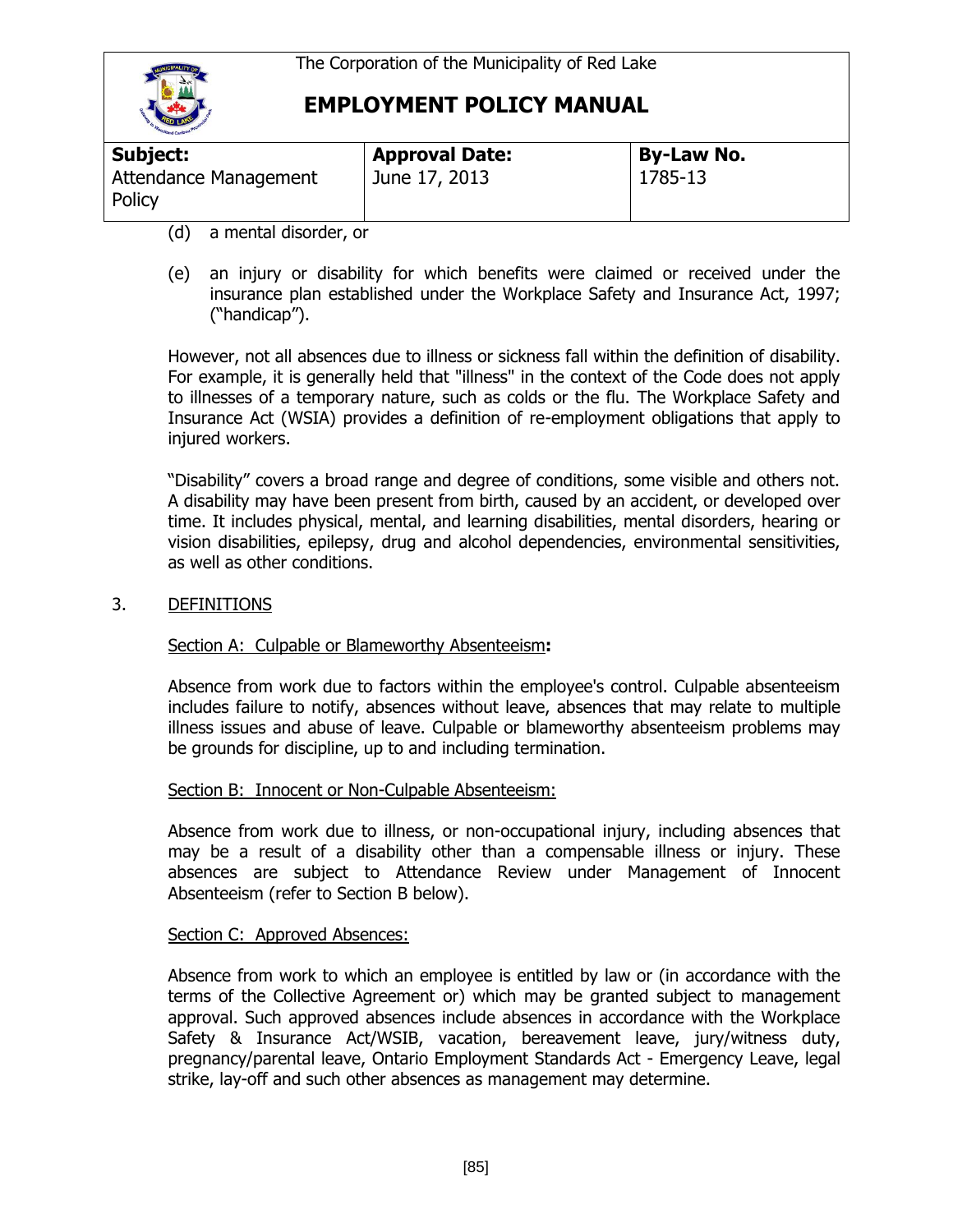

| Subject:                        | <b>Approval Date:</b> | <b>By-Law No.</b> |
|---------------------------------|-----------------------|-------------------|
| Attendance Management<br>Policy | June 17, 2013         | 1785-13           |

- (d) a mental disorder, or
- (e) an injury or disability for which benefits were claimed or received under the insurance plan established under the Workplace Safety and Insurance Act, 1997; ("handicap").

However, not all absences due to illness or sickness fall within the definition of disability. For example, it is generally held that "illness" in the context of the Code does not apply to illnesses of a temporary nature, such as colds or the flu. The Workplace Safety and Insurance Act (WSIA) provides a definition of re-employment obligations that apply to injured workers.

"Disability" covers a broad range and degree of conditions, some visible and others not. A disability may have been present from birth, caused by an accident, or developed over time. It includes physical, mental, and learning disabilities, mental disorders, hearing or vision disabilities, epilepsy, drug and alcohol dependencies, environmental sensitivities, as well as other conditions.

3. DEFINITIONS

### Section A: Culpable or Blameworthy Absenteeism**:**

Absence from work due to factors within the employee's control. Culpable absenteeism includes failure to notify, absences without leave, absences that may relate to multiple illness issues and abuse of leave. Culpable or blameworthy absenteeism problems may be grounds for discipline, up to and including termination.

#### Section B: Innocent or Non-Culpable Absenteeism:

Absence from work due to illness, or non-occupational injury, including absences that may be a result of a disability other than a compensable illness or injury. These absences are subject to Attendance Review under Management of Innocent Absenteeism (refer to Section B below).

#### Section C: Approved Absences:

Absence from work to which an employee is entitled by law or (in accordance with the terms of the Collective Agreement or) which may be granted subject to management approval. Such approved absences include absences in accordance with the Workplace Safety & Insurance Act/WSIB, vacation, bereavement leave, jury/witness duty, pregnancy/parental leave, Ontario Employment Standards Act - Emergency Leave, legal strike, lay-off and such other absences as management may determine.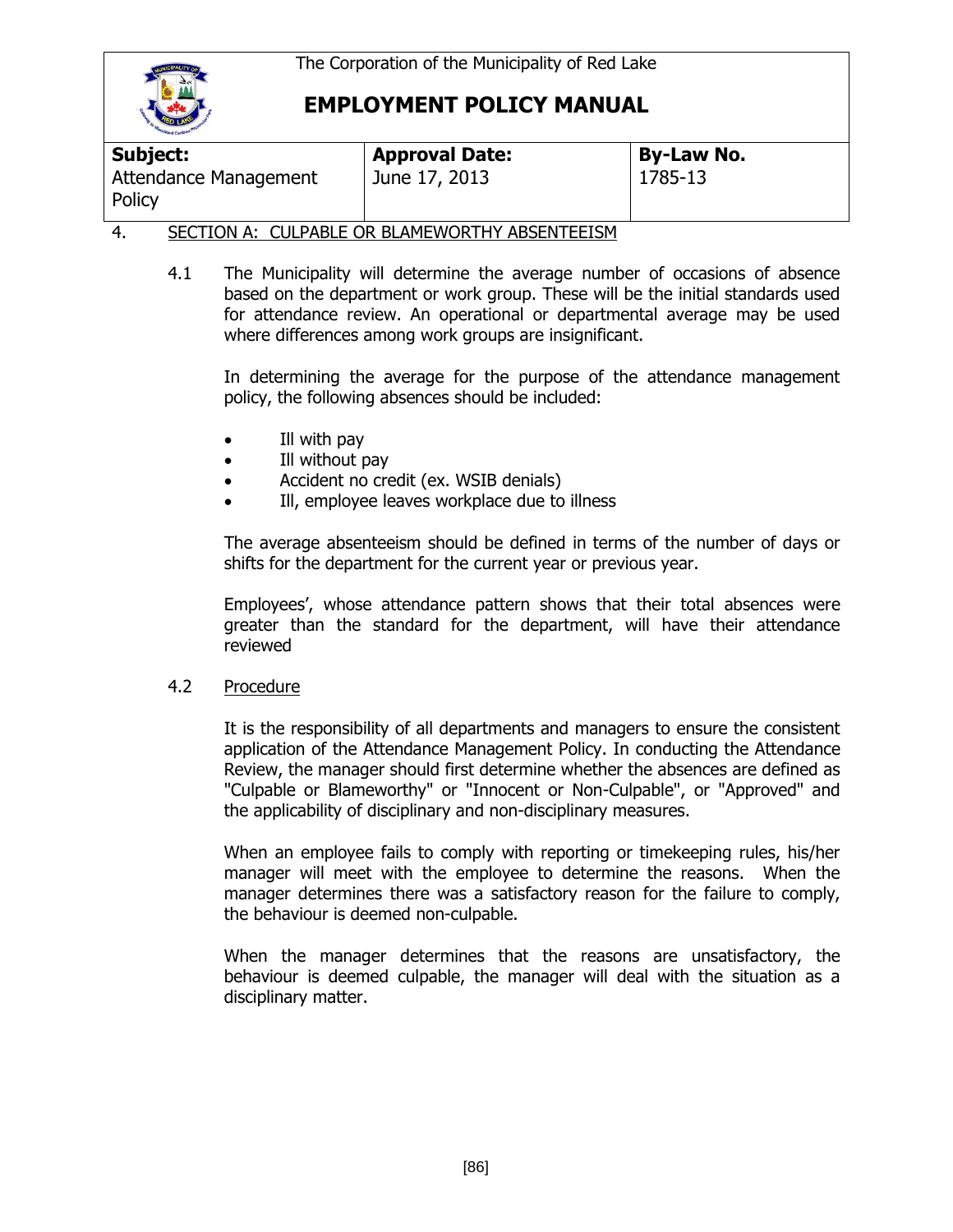

| Subject:                                                       | <b>Approval Date:</b> | <b>By-Law No.</b> |
|----------------------------------------------------------------|-----------------------|-------------------|
| Attendance Management<br>Policy                                | June 17, 2013         | 1785-13           |
| ---------<br>$\alpha$ u bibi e ab bi ilieliabelni ibachitetali |                       |                   |

### 4. SECTION A: CULPABLE OR BLAMEWORTHY ABSENTEEISM

4.1 The Municipality will determine the average number of occasions of absence based on the department or work group. These will be the initial standards used for attendance review. An operational or departmental average may be used where differences among work groups are insignificant.

In determining the average for the purpose of the attendance management policy, the following absences should be included:

- Ill with pay
- Ill without pay
- Accident no credit (ex. WSIB denials)
- Ill, employee leaves workplace due to illness

The average absenteeism should be defined in terms of the number of days or shifts for the department for the current year or previous year.

Employees', whose attendance pattern shows that their total absences were greater than the standard for the department, will have their attendance reviewed

#### 4.2 Procedure

It is the responsibility of all departments and managers to ensure the consistent application of the Attendance Management Policy. In conducting the Attendance Review, the manager should first determine whether the absences are defined as "Culpable or Blameworthy" or "Innocent or Non-Culpable", or "Approved" and the applicability of disciplinary and non-disciplinary measures.

When an employee fails to comply with reporting or timekeeping rules, his/her manager will meet with the employee to determine the reasons. When the manager determines there was a satisfactory reason for the failure to comply, the behaviour is deemed non-culpable.

When the manager determines that the reasons are unsatisfactory, the behaviour is deemed culpable, the manager will deal with the situation as a disciplinary matter.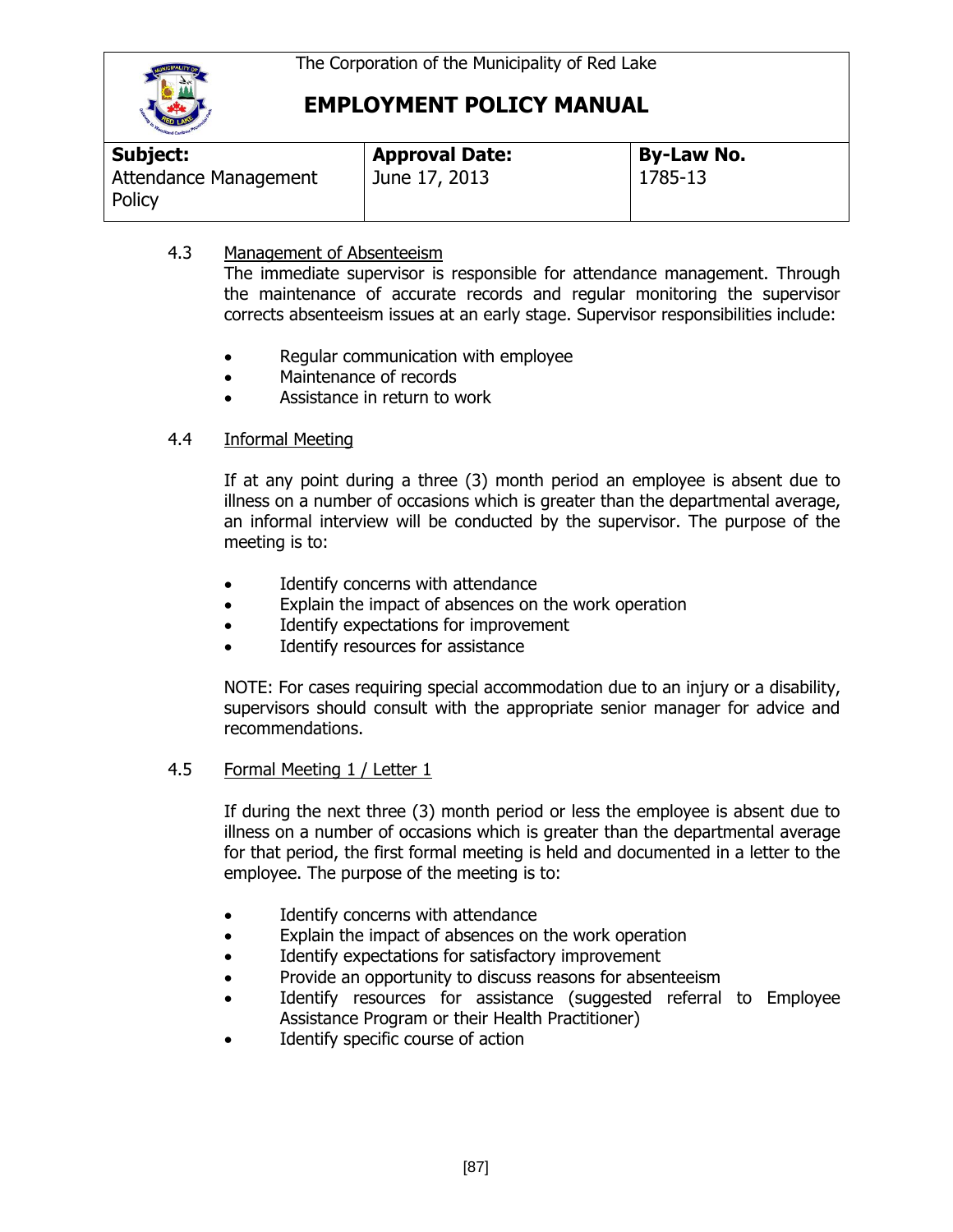

| <b>Subject:</b>                 | <b>Approval Date:</b> | <b>By-Law No.</b> |  |
|---------------------------------|-----------------------|-------------------|--|
| Attendance Management<br>Policy | June 17, 2013         | 1785-13           |  |

### 4.3 Management of Absenteeism

The immediate supervisor is responsible for attendance management. Through the maintenance of accurate records and regular monitoring the supervisor corrects absenteeism issues at an early stage. Supervisor responsibilities include:

- Regular communication with employee
- Maintenance of records
- Assistance in return to work

### 4.4 Informal Meeting

If at any point during a three (3) month period an employee is absent due to illness on a number of occasions which is greater than the departmental average, an informal interview will be conducted by the supervisor. The purpose of the meeting is to:

- Identify concerns with attendance
- Explain the impact of absences on the work operation
- Identify expectations for improvement
- Identify resources for assistance

NOTE: For cases requiring special accommodation due to an injury or a disability, supervisors should consult with the appropriate senior manager for advice and recommendations.

### 4.5 Formal Meeting 1 / Letter 1

If during the next three (3) month period or less the employee is absent due to illness on a number of occasions which is greater than the departmental average for that period, the first formal meeting is held and documented in a letter to the employee. The purpose of the meeting is to:

- Identify concerns with attendance
- Explain the impact of absences on the work operation
- Identify expectations for satisfactory improvement
- Provide an opportunity to discuss reasons for absenteeism
- Identify resources for assistance (suggested referral to Employee Assistance Program or their Health Practitioner)
- Identify specific course of action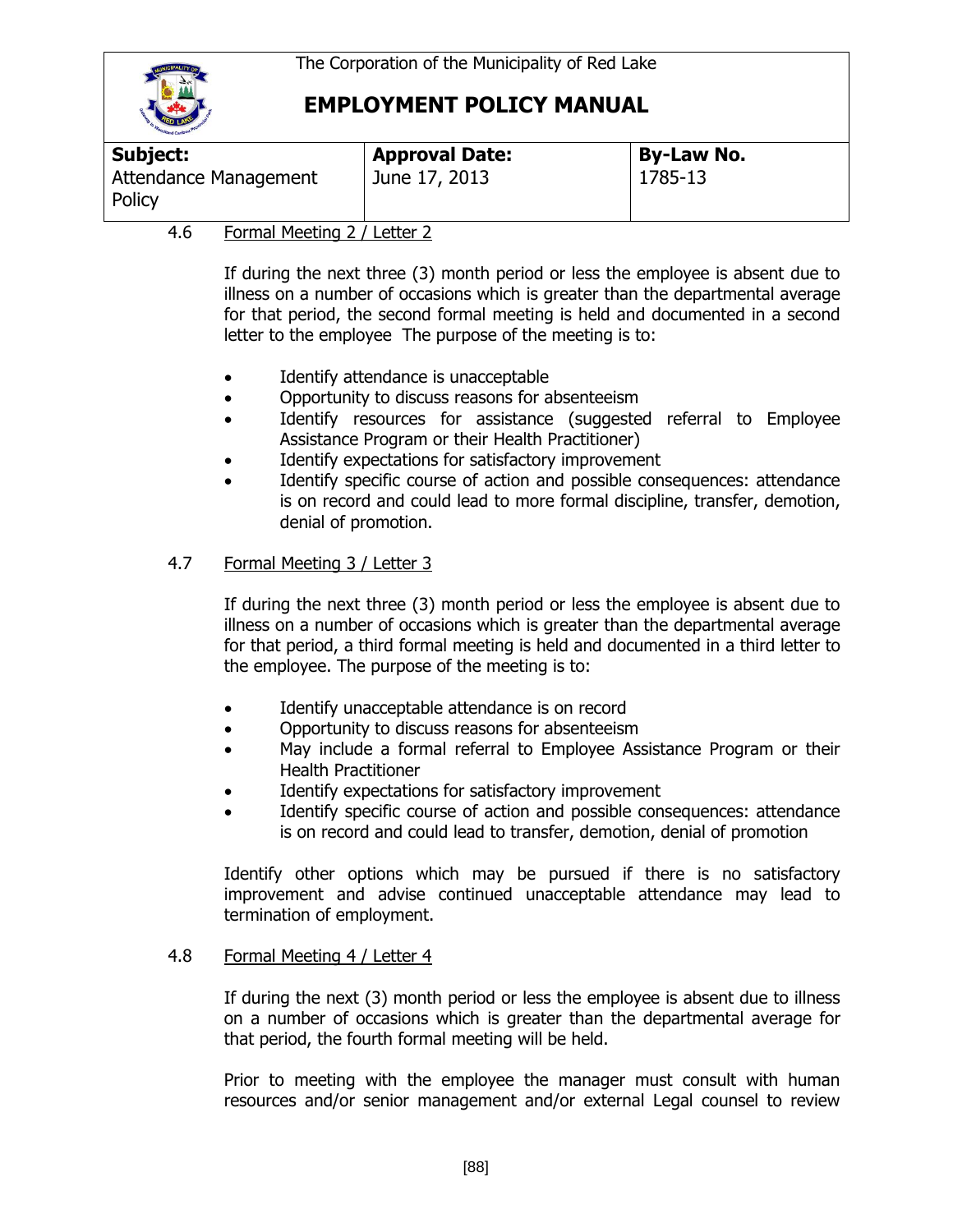

| Subject:                        | <b>Approval Date:</b> | <b>By-Law No.</b> |
|---------------------------------|-----------------------|-------------------|
| Attendance Management<br>Policy | June 17, 2013         | 1785-13           |

### 4.6 Formal Meeting 2 / Letter 2

If during the next three (3) month period or less the employee is absent due to illness on a number of occasions which is greater than the departmental average for that period, the second formal meeting is held and documented in a second letter to the employee The purpose of the meeting is to:

- Identify attendance is unacceptable
- Opportunity to discuss reasons for absenteeism
- Identify resources for assistance (suggested referral to Employee Assistance Program or their Health Practitioner)
- Identify expectations for satisfactory improvement
- Identify specific course of action and possible consequences: attendance is on record and could lead to more formal discipline, transfer, demotion, denial of promotion.

### 4.7 Formal Meeting 3 / Letter 3

If during the next three (3) month period or less the employee is absent due to illness on a number of occasions which is greater than the departmental average for that period, a third formal meeting is held and documented in a third letter to the employee. The purpose of the meeting is to:

- Identify unacceptable attendance is on record
- Opportunity to discuss reasons for absenteeism
- May include a formal referral to Employee Assistance Program or their Health Practitioner
- Identify expectations for satisfactory improvement
- Identify specific course of action and possible consequences: attendance is on record and could lead to transfer, demotion, denial of promotion

Identify other options which may be pursued if there is no satisfactory improvement and advise continued unacceptable attendance may lead to termination of employment.

### 4.8 Formal Meeting 4 / Letter 4

If during the next (3) month period or less the employee is absent due to illness on a number of occasions which is greater than the departmental average for that period, the fourth formal meeting will be held.

Prior to meeting with the employee the manager must consult with human resources and/or senior management and/or external Legal counsel to review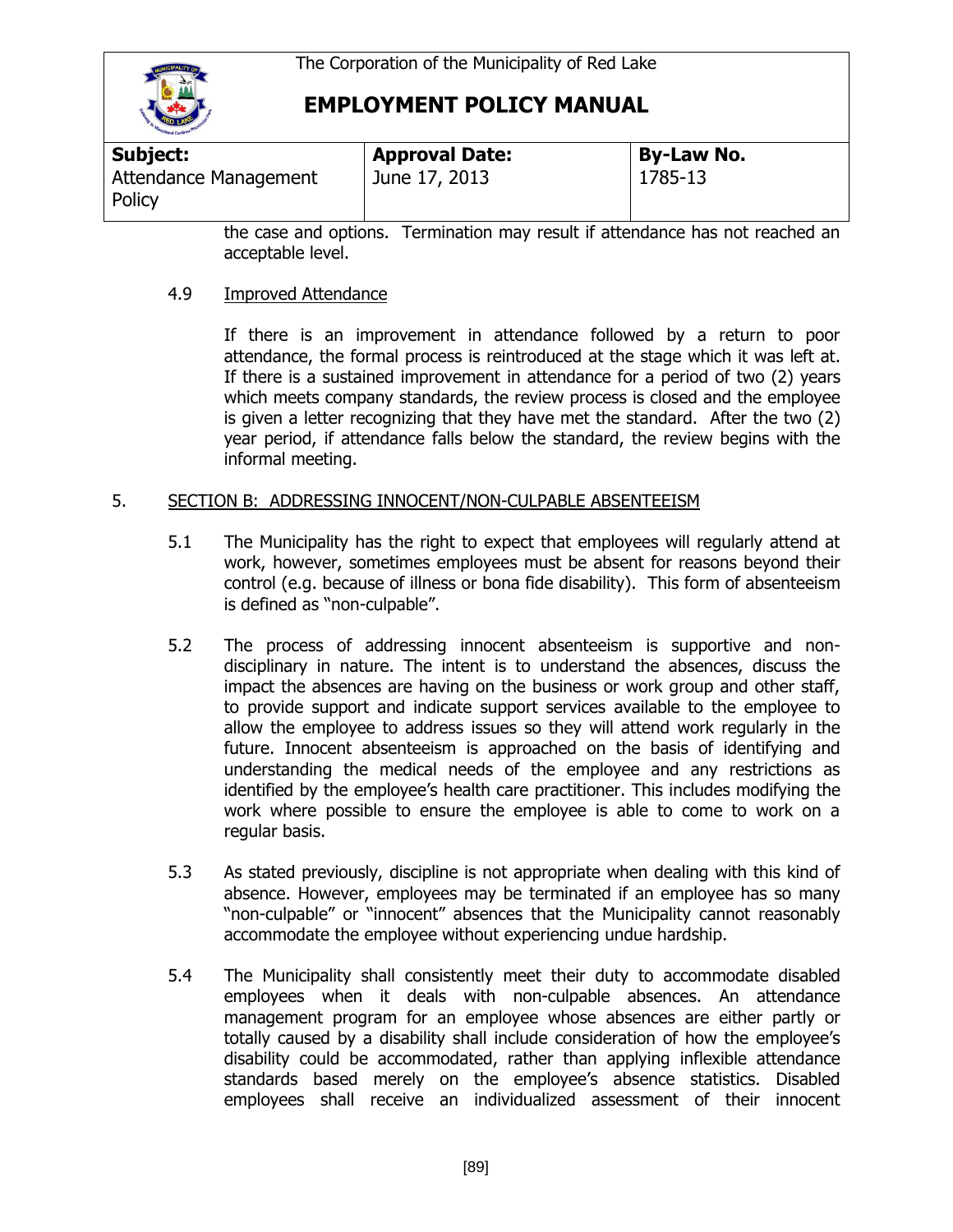

| Subject:                        | <b>Approval Date:</b> | <b>By-Law No.</b> |  |
|---------------------------------|-----------------------|-------------------|--|
| Attendance Management<br>Policy | June 17, 2013         | 1785-13           |  |

the case and options. Termination may result if attendance has not reached an acceptable level.

#### 4.9 Improved Attendance

If there is an improvement in attendance followed by a return to poor attendance, the formal process is reintroduced at the stage which it was left at. If there is a sustained improvement in attendance for a period of two (2) years which meets company standards, the review process is closed and the employee is given a letter recognizing that they have met the standard. After the two (2) year period, if attendance falls below the standard, the review begins with the informal meeting.

#### 5. SECTION B: ADDRESSING INNOCENT/NON-CULPABLE ABSENTEEISM

- 5.1 The Municipality has the right to expect that employees will regularly attend at work, however, sometimes employees must be absent for reasons beyond their control (e.g. because of illness or bona fide disability). This form of absenteeism is defined as "non-culpable".
- 5.2 The process of addressing innocent absenteeism is supportive and nondisciplinary in nature. The intent is to understand the absences, discuss the impact the absences are having on the business or work group and other staff, to provide support and indicate support services available to the employee to allow the employee to address issues so they will attend work regularly in the future. Innocent absenteeism is approached on the basis of identifying and understanding the medical needs of the employee and any restrictions as identified by the employee's health care practitioner. This includes modifying the work where possible to ensure the employee is able to come to work on a regular basis.
- 5.3 As stated previously, discipline is not appropriate when dealing with this kind of absence. However, employees may be terminated if an employee has so many "non-culpable" or "innocent" absences that the Municipality cannot reasonably accommodate the employee without experiencing undue hardship.
- 5.4 The Municipality shall consistently meet their duty to accommodate disabled employees when it deals with non-culpable absences. An attendance management program for an employee whose absences are either partly or totally caused by a disability shall include consideration of how the employee's disability could be accommodated, rather than applying inflexible attendance standards based merely on the employee's absence statistics. Disabled employees shall receive an individualized assessment of their innocent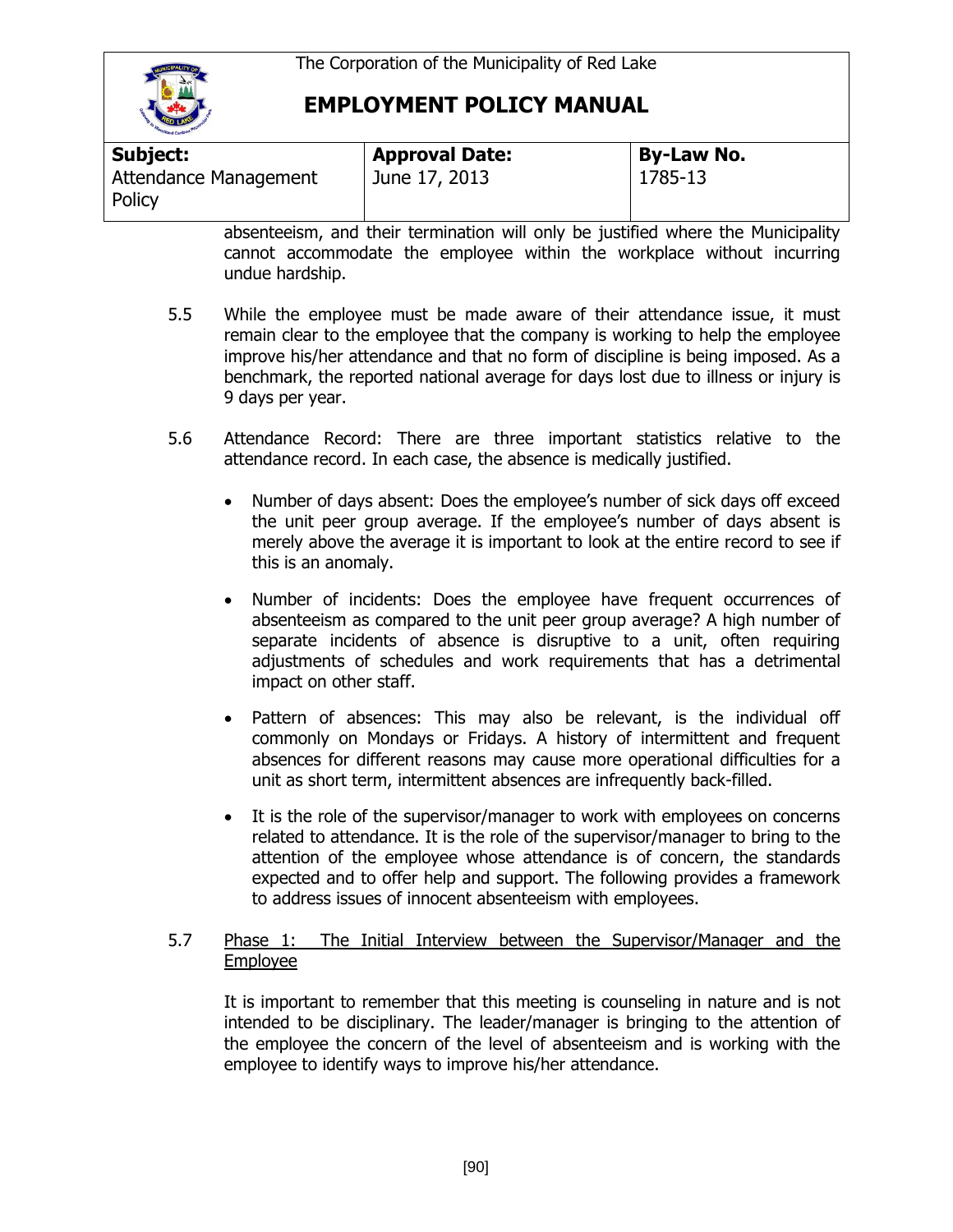

| Subject:                        | <b>Approval Date:</b> | <b>By-Law No.</b> |
|---------------------------------|-----------------------|-------------------|
| Attendance Management<br>Policy | June 17, 2013         | 1785-13           |

absenteeism, and their termination will only be justified where the Municipality cannot accommodate the employee within the workplace without incurring undue hardship.

- 5.5 While the employee must be made aware of their attendance issue, it must remain clear to the employee that the company is working to help the employee improve his/her attendance and that no form of discipline is being imposed. As a benchmark, the reported national average for days lost due to illness or injury is 9 days per year.
- 5.6 Attendance Record: There are three important statistics relative to the attendance record. In each case, the absence is medically justified.
	- Number of days absent: Does the employee's number of sick days off exceed the unit peer group average. If the employee's number of days absent is merely above the average it is important to look at the entire record to see if this is an anomaly.
	- Number of incidents: Does the employee have frequent occurrences of absenteeism as compared to the unit peer group average? A high number of separate incidents of absence is disruptive to a unit, often requiring adjustments of schedules and work requirements that has a detrimental impact on other staff.
	- Pattern of absences: This may also be relevant, is the individual off commonly on Mondays or Fridays. A history of intermittent and frequent absences for different reasons may cause more operational difficulties for a unit as short term, intermittent absences are infrequently back-filled.
	- It is the role of the supervisor/manager to work with employees on concerns related to attendance. It is the role of the supervisor/manager to bring to the attention of the employee whose attendance is of concern, the standards expected and to offer help and support. The following provides a framework to address issues of innocent absenteeism with employees.

#### 5.7 Phase 1: The Initial Interview between the Supervisor/Manager and the Employee

It is important to remember that this meeting is counseling in nature and is not intended to be disciplinary. The leader/manager is bringing to the attention of the employee the concern of the level of absenteeism and is working with the employee to identify ways to improve his/her attendance.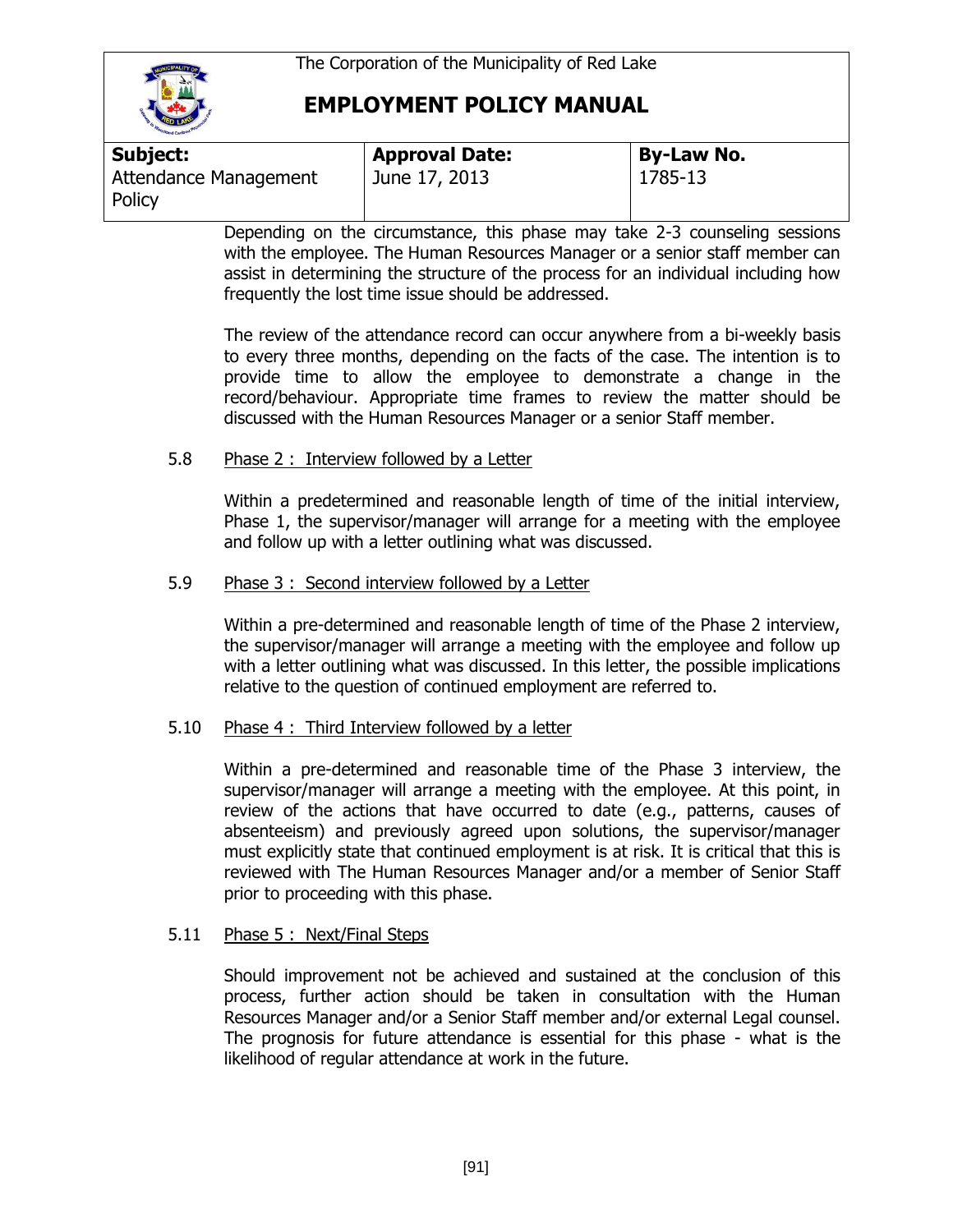

| Subject:                        | <b>Approval Date:</b> | <b>By-Law No.</b> |
|---------------------------------|-----------------------|-------------------|
| Attendance Management<br>Policy | June 17, 2013         | 1785-13           |

Depending on the circumstance, this phase may take 2-3 counseling sessions with the employee. The Human Resources Manager or a senior staff member can assist in determining the structure of the process for an individual including how frequently the lost time issue should be addressed.

The review of the attendance record can occur anywhere from a bi-weekly basis to every three months, depending on the facts of the case. The intention is to provide time to allow the employee to demonstrate a change in the record/behaviour. Appropriate time frames to review the matter should be discussed with the Human Resources Manager or a senior Staff member.

#### 5.8 Phase 2 : Interview followed by a Letter

Within a predetermined and reasonable length of time of the initial interview, Phase 1, the supervisor/manager will arrange for a meeting with the employee and follow up with a letter outlining what was discussed.

#### 5.9 Phase 3 : Second interview followed by a Letter

Within a pre-determined and reasonable length of time of the Phase 2 interview, the supervisor/manager will arrange a meeting with the employee and follow up with a letter outlining what was discussed. In this letter, the possible implications relative to the question of continued employment are referred to.

### 5.10 Phase 4 : Third Interview followed by a letter

Within a pre-determined and reasonable time of the Phase 3 interview, the supervisor/manager will arrange a meeting with the employee. At this point, in review of the actions that have occurred to date (e.g., patterns, causes of absenteeism) and previously agreed upon solutions, the supervisor/manager must explicitly state that continued employment is at risk. It is critical that this is reviewed with The Human Resources Manager and/or a member of Senior Staff prior to proceeding with this phase.

### 5.11 Phase 5 : Next/Final Steps

Should improvement not be achieved and sustained at the conclusion of this process, further action should be taken in consultation with the Human Resources Manager and/or a Senior Staff member and/or external Legal counsel. The prognosis for future attendance is essential for this phase - what is the likelihood of regular attendance at work in the future.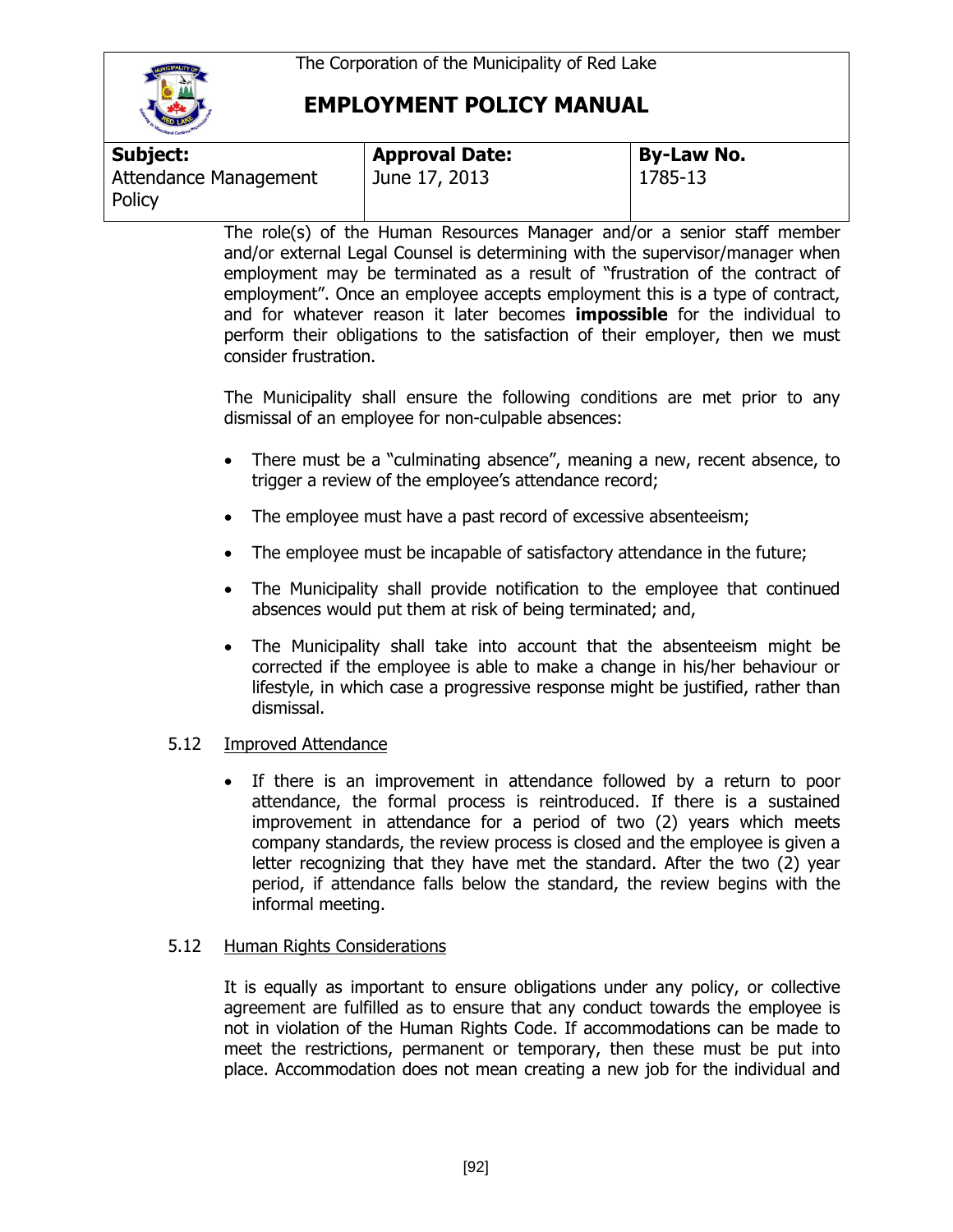

| <b>Subject:</b>                 | <b>Approval Date:</b> | <b>By-Law No.</b> |
|---------------------------------|-----------------------|-------------------|
| Attendance Management<br>Policy | June 17, 2013         | 1785-13           |

The role(s) of the Human Resources Manager and/or a senior staff member and/or external Legal Counsel is determining with the supervisor/manager when employment may be terminated as a result of "frustration of the contract of employment". Once an employee accepts employment this is a type of contract, and for whatever reason it later becomes **impossible** for the individual to perform their obligations to the satisfaction of their employer, then we must consider frustration.

The Municipality shall ensure the following conditions are met prior to any dismissal of an employee for non-culpable absences:

- There must be a "culminating absence", meaning a new, recent absence, to trigger a review of the employee's attendance record;
- The employee must have a past record of excessive absenteeism;
- The employee must be incapable of satisfactory attendance in the future;
- The Municipality shall provide notification to the employee that continued absences would put them at risk of being terminated; and,
- The Municipality shall take into account that the absenteeism might be corrected if the employee is able to make a change in his/her behaviour or lifestyle, in which case a progressive response might be justified, rather than dismissal.

### 5.12 Improved Attendance

 If there is an improvement in attendance followed by a return to poor attendance, the formal process is reintroduced. If there is a sustained improvement in attendance for a period of two (2) years which meets company standards, the review process is closed and the employee is given a letter recognizing that they have met the standard. After the two (2) year period, if attendance falls below the standard, the review begins with the informal meeting.

#### 5.12 Human Rights Considerations

It is equally as important to ensure obligations under any policy, or collective agreement are fulfilled as to ensure that any conduct towards the employee is not in violation of the Human Rights Code. If accommodations can be made to meet the restrictions, permanent or temporary, then these must be put into place. Accommodation does not mean creating a new job for the individual and